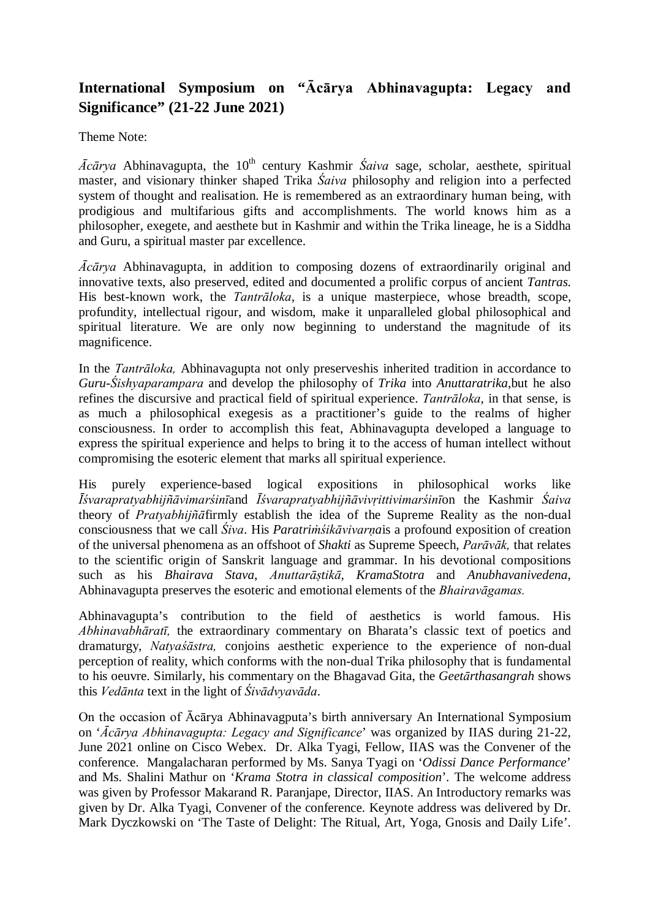## **International Symposium on "Ācārya Abhinavagupta: Legacy and Significance" (21-22 June 2021)**

Theme Note:

*Ācārya* Abhinavagupta, the 10<sup>th</sup> century Kashmir *Śaiva* sage, scholar, aesthete, spiritual master, and visionary thinker shaped Trika *Śaiva* philosophy and religion into a perfected system of thought and realisation. He is remembered as an extraordinary human being, with prodigious and multifarious gifts and accomplishments. The world knows him as a philosopher, exegete, and aesthete but in Kashmir and within the Trika lineage, he is a Siddha and Guru, a spiritual master par excellence.

*Ācārya* Abhinavagupta, in addition to composing dozens of extraordinarily original and innovative texts, also preserved, edited and documented a prolific corpus of ancient *Tantras.*  His best-known work, the *Tantrāloka*, is a unique masterpiece, whose breadth, scope, profundity, intellectual rigour, and wisdom, make it unparalleled global philosophical and spiritual literature. We are only now beginning to understand the magnitude of its magnificence.

In the *Tantrāloka,* Abhinavagupta not only preserveshis inherited tradition in accordance to *Guru-Śishyaparampara* and develop the philosophy of *Trika* into *Anuttaratrika*,but he also refines the discursive and practical field of spiritual experience. *Tantrāloka,* in that sense, is as much a philosophical exegesis as a practitioner's guide to the realms of higher consciousness. In order to accomplish this feat, Abhinavagupta developed a language to express the spiritual experience and helps to bring it to the access of human intellect without compromising the esoteric element that marks all spiritual experience.

His purely experience-based logical expositions in philosophical works like *Īśvarapratyabhijñāvimarśinī*and *Īśvarapratyabhijñāvivṛittivimarśinī*on the Kashmir *Śaiva* theory of *Pratyabhijñā*firmly establish the idea of the Supreme Reality as the non-dual consciousness that we call *Śiva*. His *Paratriṁśikāvivarṇa*is a profound exposition of creation of the universal phenomena as an offshoot of *Shakti* as Supreme Speech, *Parāvāk,* that relates to the scientific origin of Sanskrit language and grammar. In his devotional compositions such as his *Bhairava Stava*, *Anuttarāṣtikā*, *KramaStotra* and *Anubhavanivedena*, Abhinavagupta preserves the esoteric and emotional elements of the *Bhairavāgamas.*

Abhinavagupta's contribution to the field of aesthetics is world famous. His *Abhinavabhāratī,* the extraordinary commentary on Bharata's classic text of poetics and dramaturgy, *Natyaśāstra,* conjoins aesthetic experience to the experience of non-dual perception of reality, which conforms with the non-dual Trika philosophy that is fundamental to his oeuvre. Similarly, his commentary on the Bhagavad Gita, the *Geetārthasangrah* shows this *Vedānta* text in the light of *Śivādvyavāda*.

On the occasion of Ācārya Abhinavagputa's birth anniversary An International Symposium on '*Ācārya Abhinavagupta: Legacy and Significance*' was organized by IIAS during 21-22, June 2021 online on Cisco Webex. Dr. Alka Tyagi, Fellow, IIAS was the Convener of the conference. Mangalacharan performed by Ms. Sanya Tyagi on '*Odissi Dance Performance*' and Ms. Shalini Mathur on '*Krama Stotra in classical composition*'. The welcome address was given by Professor Makarand R. Paranjape, Director, IIAS. An Introductory remarks was given by Dr. Alka Tyagi, Convener of the conference. Keynote address was delivered by Dr. Mark Dyczkowski on 'The Taste of Delight: The Ritual, Art, Yoga, Gnosis and Daily Life'.